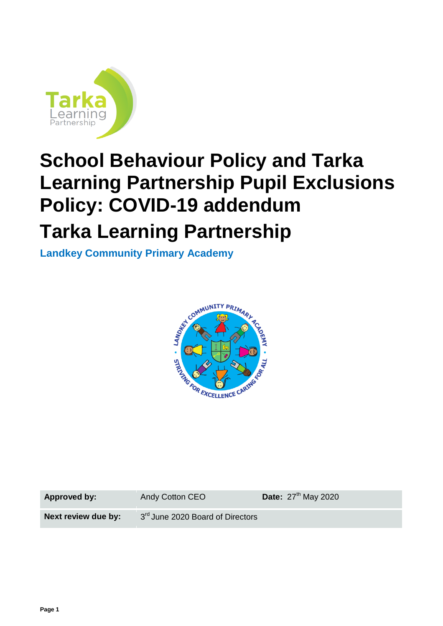

# **School Behaviour Policy and Tarka Learning Partnership Pupil Exclusions Policy: COVID-19 addendum**

# **Tarka Learning Partnership**

**Landkey Community Primary Academy**



**Approved by:** Andy Cotton CEO

Date:  $27<sup>th</sup>$  May 2020

**Next review due by:** 

3rd June 2020 Board of Directors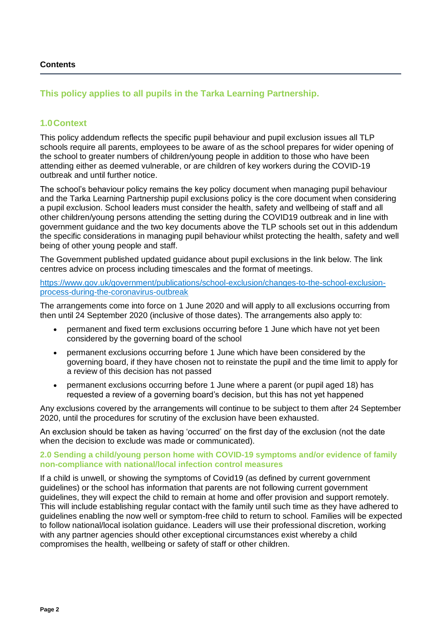#### **Contents**

## **This policy applies to all pupils in the Tarka Learning Partnership.**

### **1.0Context**

This policy addendum reflects the specific pupil behaviour and pupil exclusion issues all TLP schools require all parents, employees to be aware of as the school prepares for wider opening of the school to greater numbers of children/young people in addition to those who have been attending either as deemed vulnerable, or are children of key workers during the COVID-19 outbreak and until further notice.

The school's behaviour policy remains the key policy document when managing pupil behaviour and the Tarka Learning Partnership pupil exclusions policy is the core document when considering a pupil exclusion. School leaders must consider the health, safety and wellbeing of staff and all other children/young persons attending the setting during the COVID19 outbreak and in line with government guidance and the two key documents above the TLP schools set out in this addendum the specific considerations in managing pupil behaviour whilst protecting the health, safety and well being of other young people and staff.

The Government published updated guidance about pupil exclusions in the link below. The link centres advice on process including timescales and the format of meetings.

[https://www.gov.uk/government/publications/school-exclusion/changes-to-the-school-exclusion](https://www.gov.uk/government/publications/school-exclusion/changes-to-the-school-exclusion-process-during-the-coronavirus-outbreak)[process-during-the-coronavirus-outbreak](https://www.gov.uk/government/publications/school-exclusion/changes-to-the-school-exclusion-process-during-the-coronavirus-outbreak)

The arrangements come into force on 1 June 2020 and will apply to all exclusions occurring from then until 24 September 2020 (inclusive of those dates). The arrangements also apply to:

- permanent and fixed term exclusions occurring before 1 June which have not yet been considered by the governing board of the school
- permanent exclusions occurring before 1 June which have been considered by the governing board, if they have chosen not to reinstate the pupil and the time limit to apply for a review of this decision has not passed
- permanent exclusions occurring before 1 June where a parent (or pupil aged 18) has requested a review of a governing board's decision, but this has not yet happened

Any exclusions covered by the arrangements will continue to be subject to them after 24 September 2020, until the procedures for scrutiny of the exclusion have been exhausted.

An exclusion should be taken as having 'occurred' on the first day of the exclusion (not the date when the decision to exclude was made or communicated).

#### **2.0 Sending a child/young person home with COVID-19 symptoms and/or evidence of family non-compliance with national/local infection control measures**

If a child is unwell, or showing the symptoms of Covid19 (as defined by current government guidelines) or the school has information that parents are not following current government guidelines, they will expect the child to remain at home and offer provision and support remotely. This will include establishing regular contact with the family until such time as they have adhered to guidelines enabling the now well or symptom-free child to return to school. Families will be expected to follow national/local isolation guidance. Leaders will use their professional discretion, working with any partner agencies should other exceptional circumstances exist whereby a child compromises the health, wellbeing or safety of staff or other children.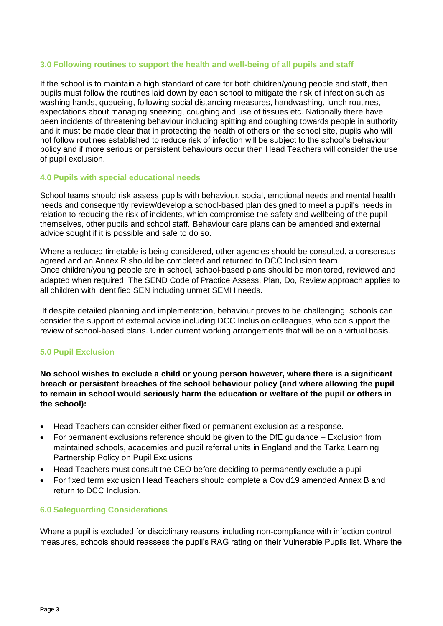#### **3.0 Following routines to support the health and well-being of all pupils and staff**

If the school is to maintain a high standard of care for both children/young people and staff, then pupils must follow the routines laid down by each school to mitigate the risk of infection such as washing hands, queueing, following social distancing measures, handwashing, lunch routines, expectations about managing sneezing, coughing and use of tissues etc. Nationally there have been incidents of threatening behaviour including spitting and coughing towards people in authority and it must be made clear that in protecting the health of others on the school site, pupils who will not follow routines established to reduce risk of infection will be subject to the school's behaviour policy and if more serious or persistent behaviours occur then Head Teachers will consider the use of pupil exclusion.

#### **4.0 Pupils with special educational needs**

School teams should risk assess pupils with behaviour, social, emotional needs and mental health needs and consequently review/develop a school-based plan designed to meet a pupil's needs in relation to reducing the risk of incidents, which compromise the safety and wellbeing of the pupil themselves, other pupils and school staff. Behaviour care plans can be amended and external advice sought if it is possible and safe to do so.

Where a reduced timetable is being considered, other agencies should be consulted, a consensus agreed and an Annex R should be completed and returned to DCC Inclusion team. Once children/young people are in school, school-based plans should be monitored, reviewed and adapted when required. The SEND Code of Practice Assess, Plan, Do, Review approach applies to all children with identified SEN including unmet SEMH needs.

If despite detailed planning and implementation, behaviour proves to be challenging, schools can consider the support of external advice including DCC Inclusion colleagues, who can support the review of school-based plans. Under current working arrangements that will be on a virtual basis.

#### **5.0 Pupil Exclusion**

**No school wishes to exclude a child or young person however, where there is a significant breach or persistent breaches of the school behaviour policy (and where allowing the pupil to remain in school would seriously harm the education or welfare of the pupil or others in the school):**

- Head Teachers can consider either fixed or permanent exclusion as a response.
- For permanent exclusions reference should be given to the DfE guidance Exclusion from maintained schools, academies and pupil referral units in England and the Tarka Learning Partnership Policy on Pupil Exclusions
- Head Teachers must consult the CEO before deciding to permanently exclude a pupil
- For fixed term exclusion Head Teachers should complete a Covid19 amended Annex B and return to DCC Inclusion.

#### **6.0 Safeguarding Considerations**

Where a pupil is excluded for disciplinary reasons including non-compliance with infection control measures, schools should reassess the pupil's RAG rating on their Vulnerable Pupils list. Where the